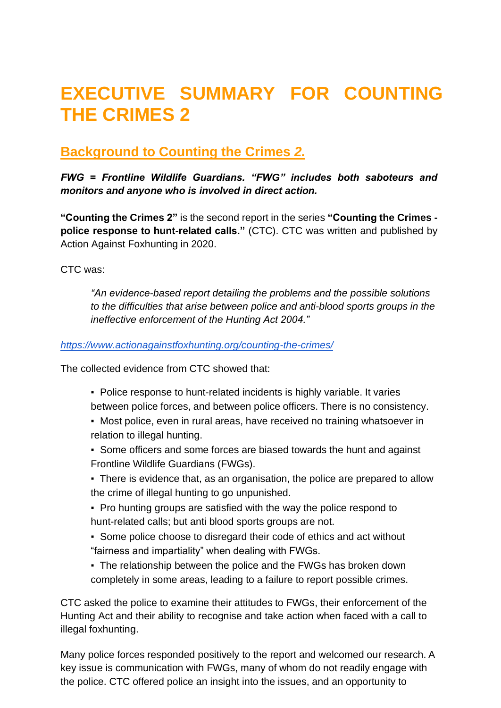# **EXECUTIVE SUMMARY FOR COUNTING THE CRIMES 2**

# **Background to Counting the Crimes** *2.*

*FWG = Frontline Wildlife Guardians. "FWG" includes both saboteurs and monitors and anyone who is involved in direct action.*

**"Counting the Crimes 2"** is the second report in the series **"Counting the Crimes police response to hunt-related calls."** (CTC). CTC was written and published by Action Against Foxhunting in 2020.

CTC was:

*"An evidence-based report detailing the problems and the possible solutions to the difficulties that arise between police and anti-blood sports groups in the ineffective enforcement of the Hunting Act 2004."*

#### *<https://www.actionagainstfoxhunting.org/counting-the-crimes/>*

The collected evidence from CTC showed that:

- Police response to hunt-related incidents is highly variable. It varies between police forces, and between police officers. There is no consistency.
- Most police, even in rural areas, have received no training whatsoever in relation to illegal hunting.
- Some officers and some forces are biased towards the hunt and against Frontline Wildlife Guardians (FWGs).
- There is evidence that, as an organisation, the police are prepared to allow the crime of illegal hunting to go unpunished.
- Pro hunting groups are satisfied with the way the police respond to hunt-related calls; but anti blood sports groups are not.
- Some police choose to disregard their code of ethics and act without "fairness and impartiality" when dealing with FWGs.
- The relationship between the police and the FWGs has broken down completely in some areas, leading to a failure to report possible crimes.

CTC asked the police to examine their attitudes to FWGs, their enforcement of the Hunting Act and their ability to recognise and take action when faced with a call to illegal foxhunting.

Many police forces responded positively to the report and welcomed our research. A key issue is communication with FWGs, many of whom do not readily engage with the police. CTC offered police an insight into the issues, and an opportunity to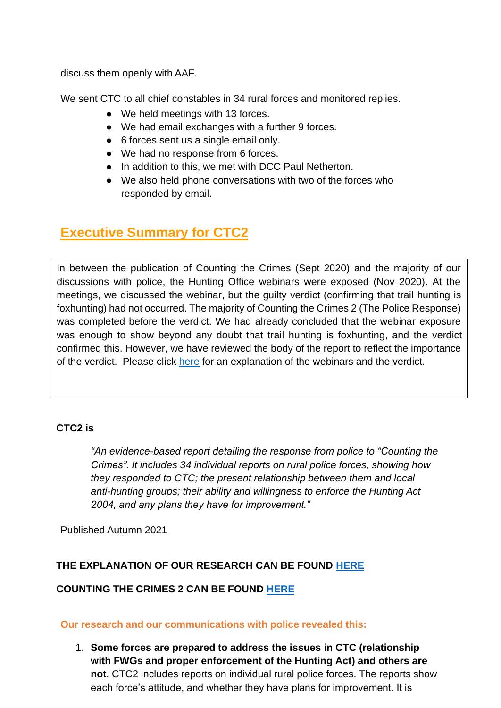discuss them openly with AAF.

We sent CTC to all chief constables in 34 rural forces and monitored replies.

- We held meetings with 13 forces.
- We had email exchanges with a further 9 forces.
- 6 forces sent us a single email only.
- We had no response from 6 forces.
- In addition to this, we met with DCC Paul Netherton.
- We also held phone conversations with two of the forces who responded by email.

# **Executive Summary for CTC2**

In between the publication of Counting the Crimes (Sept 2020) and the majority of our discussions with police, the Hunting Office webinars were exposed (Nov 2020). At the meetings, we discussed the webinar, but the guilty verdict (confirming that trail hunting is foxhunting) had not occurred. The majority of Counting the Crimes 2 (The Police Response) was completed before the verdict. We had already concluded that the webinar exposure was enough to show beyond any doubt that trail hunting is foxhunting, and the verdict confirmed this. However, we have reviewed the body of the report to reflect the importance of the verdict. Please click [here](https://www.league.org.uk/news-and-resources/news/hunting-office-webinars-the-road-to-conviction/) for an explanation of the webinars and the verdict.

#### **CTC2 is**

*"An evidence-based report detailing the response from police to "Counting the Crimes". It includes 34 individual reports on rural police forces, showing how they responded to CTC; the present relationship between them and local anti-hunting groups; their ability and willingness to enforce the Hunting Act 2004, and any plans they have for improvement."*

Published Autumn 2021

## **THE EXPLANATION OF OUR RESEARCH CAN BE FOUND [HERE](https://www.actionagainstfoxhunting.org/wp-content/uploads/2021/11/A-1411-Research-for-CTC2.pdf)**

#### **COUNTING THE CRIMES 2 CAN BE FOUND [HERE](https://www.actionagainstfoxhunting.org/wp-content/uploads/2021/11/D-1811-FINAL-COUNTING-THE-CRIMES-2-12-NOV-2021.pdf)**

#### **Our research and our communications with police revealed this:**

1. **Some forces are prepared to address the issues in CTC (relationship with FWGs and proper enforcement of the Hunting Act) and others are not**. CTC2 includes reports on individual rural police forces. The reports show each force's attitude, and whether they have plans for improvement. It is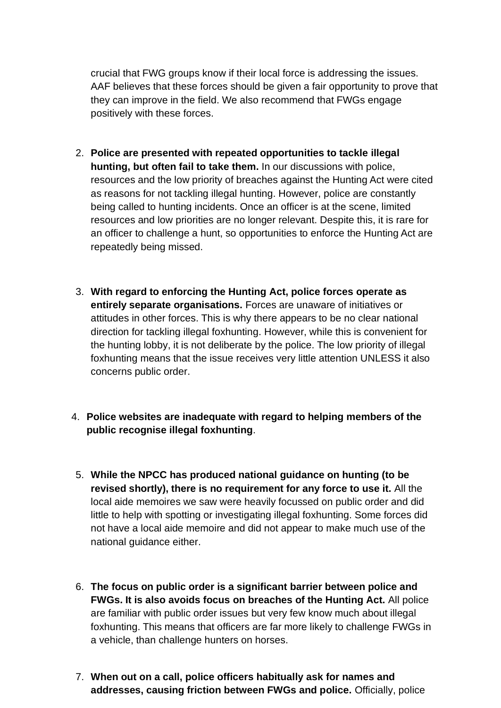crucial that FWG groups know if their local force is addressing the issues. AAF believes that these forces should be given a fair opportunity to prove that they can improve in the field. We also recommend that FWGs engage positively with these forces.

- 2. **Police are presented with repeated opportunities to tackle illegal hunting, but often fail to take them.** In our discussions with police, resources and the low priority of breaches against the Hunting Act were cited as reasons for not tackling illegal hunting. However, police are constantly being called to hunting incidents. Once an officer is at the scene, limited resources and low priorities are no longer relevant. Despite this, it is rare for an officer to challenge a hunt, so opportunities to enforce the Hunting Act are repeatedly being missed.
- 3. **With regard to enforcing the Hunting Act, police forces operate as entirely separate organisations.** Forces are unaware of initiatives or attitudes in other forces. This is why there appears to be no clear national direction for tackling illegal foxhunting. However, while this is convenient for the hunting lobby, it is not deliberate by the police. The low priority of illegal foxhunting means that the issue receives very little attention UNLESS it also concerns public order.
- 4. **Police websites are inadequate with regard to helping members of the public recognise illegal foxhunting**.
- 5. **While the NPCC has produced national guidance on hunting (to be revised shortly), there is no requirement for any force to use it.** All the local aide memoires we saw were heavily focussed on public order and did little to help with spotting or investigating illegal foxhunting. Some forces did not have a local aide memoire and did not appear to make much use of the national guidance either.
- 6. **The focus on public order is a significant barrier between police and FWGs. It is also avoids focus on breaches of the Hunting Act.** All police are familiar with public order issues but very few know much about illegal foxhunting. This means that officers are far more likely to challenge FWGs in a vehicle, than challenge hunters on horses.
- 7. **When out on a call, police officers habitually ask for names and addresses, causing friction between FWGs and police.** Officially, police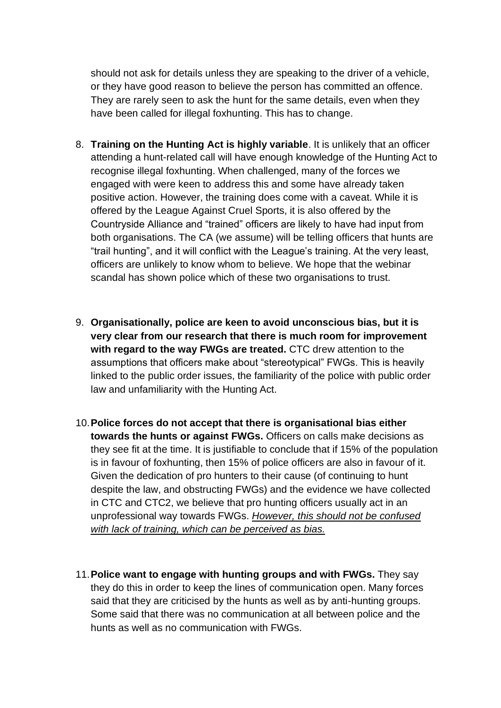should not ask for details unless they are speaking to the driver of a vehicle, or they have good reason to believe the person has committed an offence. They are rarely seen to ask the hunt for the same details, even when they have been called for illegal foxhunting. This has to change.

- 8. **Training on the Hunting Act is highly variable**. It is unlikely that an officer attending a hunt-related call will have enough knowledge of the Hunting Act to recognise illegal foxhunting. When challenged, many of the forces we engaged with were keen to address this and some have already taken positive action. However, the training does come with a caveat. While it is offered by the League Against Cruel Sports, it is also offered by the Countryside Alliance and "trained" officers are likely to have had input from both organisations. The CA (we assume) will be telling officers that hunts are "trail hunting", and it will conflict with the League's training. At the very least, officers are unlikely to know whom to believe. We hope that the webinar scandal has shown police which of these two organisations to trust.
- 9. **Organisationally, police are keen to avoid unconscious bias, but it is very clear from our research that there is much room for improvement with regard to the way FWGs are treated.** CTC drew attention to the assumptions that officers make about "stereotypical" FWGs. This is heavily linked to the public order issues, the familiarity of the police with public order law and unfamiliarity with the Hunting Act.
- 10.**Police forces do not accept that there is organisational bias either towards the hunts or against FWGs.** Officers on calls make decisions as they see fit at the time. It is justifiable to conclude that if 15% of the population is in favour of foxhunting, then 15% of police officers are also in favour of it. Given the dedication of pro hunters to their cause (of continuing to hunt despite the law, and obstructing FWGs) and the evidence we have collected in CTC and CTC2, we believe that pro hunting officers usually act in an unprofessional way towards FWGs. *However, this should not be confused with lack of training, which can be perceived as bias.*
- 11.**Police want to engage with hunting groups and with FWGs.** They say they do this in order to keep the lines of communication open. Many forces said that they are criticised by the hunts as well as by anti-hunting groups. Some said that there was no communication at all between police and the hunts as well as no communication with FWGs.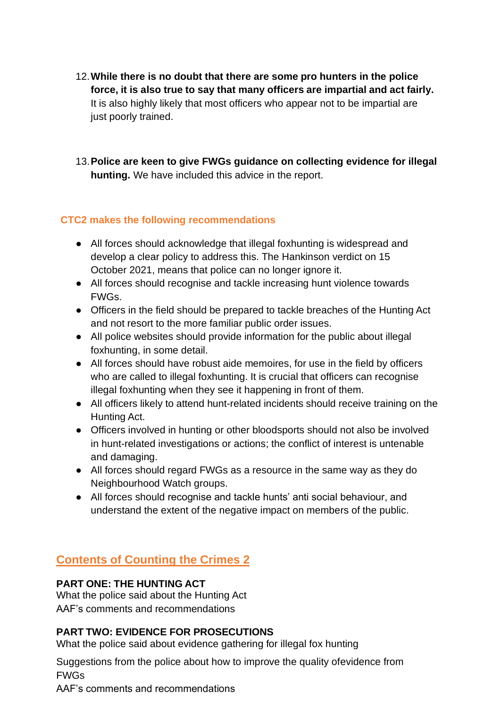- 12.**While there is no doubt that there are some pro hunters in the police force, it is also true to say that many officers are impartial and act fairly.** It is also highly likely that most officers who appear not to be impartial are just poorly trained.
- 13.**Police are keen to give FWGs guidance on collecting evidence for illegal hunting.** We have included this advice in the report.

#### **CTC2 makes the following recommendations**

- All forces should acknowledge that illegal foxhunting is widespread and develop a clear policy to address this. The Hankinson verdict on 15 October 2021, means that police can no longer ignore it.
- All forces should recognise and tackle increasing hunt violence towards FWGs.
- Officers in the field should be prepared to tackle breaches of the Hunting Act and not resort to the more familiar public order issues.
- All police websites should provide information for the public about illegal foxhunting, in some detail.
- All forces should have robust aide memoires, for use in the field by officers who are called to illegal foxhunting. It is crucial that officers can recognise illegal foxhunting when they see it happening in front of them.
- All officers likely to attend hunt-related incidents should receive training on the Hunting Act.
- Officers involved in hunting or other bloodsports should not also be involved in hunt-related investigations or actions; the conflict of interest is untenable and damaging.
- All forces should regard FWGs as a resource in the same way as they do Neighbourhood Watch groups.
- All forces should recognise and tackle hunts' anti social behaviour, and understand the extent of the negative impact on members of the public.

# **Contents of Counting the Crimes 2**

#### **PART ONE: THE HUNTING ACT**

What the police said about the Hunting Act AAF's comments and recommendations

## **PART TWO: EVIDENCE FOR PROSECUTIONS**

What the police said about evidence gathering for illegal fox hunting

Suggestions from the police about how to improve the quality ofevidence from FWGs

AAF's comments and recommendations